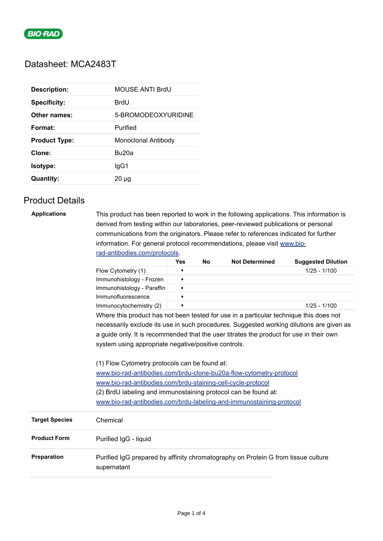

## Datasheet: MCA2483T

| <b>Description:</b>  | MOUSE ANTI BrdU     |
|----------------------|---------------------|
| <b>Specificity:</b>  | BrdU                |
| Other names:         | 5-BROMODEOXYURIDINE |
| Format:              | Purified            |
| <b>Product Type:</b> | Monoclonal Antibody |
| Clone:               | Bu20a               |
| Isotype:             | lgG1                |
| <b>Quantity:</b>     | $20 \mu$ g          |

# Product Details

| <b>Applications</b> | This product has been reported to work in the following applications. This information is<br>derived from testing within our laboratories, peer-reviewed publications or personal<br>communications from the originators. Please refer to references indicated for further<br>information. For general protocol recommendations, please visit www.bio-<br>rad-antibodies.com/protocols. |                |     |                       |                           |
|---------------------|-----------------------------------------------------------------------------------------------------------------------------------------------------------------------------------------------------------------------------------------------------------------------------------------------------------------------------------------------------------------------------------------|----------------|-----|-----------------------|---------------------------|
|                     |                                                                                                                                                                                                                                                                                                                                                                                         | <b>Yes</b>     | No. | <b>Not Determined</b> | <b>Suggested Dilution</b> |
|                     | Flow Cytometry (1)                                                                                                                                                                                                                                                                                                                                                                      | п              |     |                       | $1/25 - 1/100$            |
|                     | Immunohistology - Frozen                                                                                                                                                                                                                                                                                                                                                                | $\blacksquare$ |     |                       |                           |
|                     | Immunohistology - Paraffin                                                                                                                                                                                                                                                                                                                                                              | ٠              |     |                       |                           |
|                     | Immunofluorescence                                                                                                                                                                                                                                                                                                                                                                      | $\blacksquare$ |     |                       |                           |
|                     | Immunocytochemistry (2)                                                                                                                                                                                                                                                                                                                                                                 | $\blacksquare$ |     |                       | $1/25 - 1/100$            |
|                     | Where this product has not been tested for use in a particular technique this does not<br>necessarily exclude its use in such procedures. Suggested working dilutions are given as<br>a guide only. It is recommended that the user titrates the product for use in their own<br>system using appropriate negative/positive controls.                                                   |                |     |                       |                           |

(1) Flow Cytometry protocols can be found at: [www.bio-rad-antibodies.com/brdu-clone-bu20a-flow-cytometry-protocol](https://www.bio-rad-antibodies.com/brdu-clone-bu20a-flow-cytometry-protocol.html) [www.bio-rad-antibodies.com/brdu-staining-cell-cycle-protocol](https://www.bio-rad-antibodies.com/brdu-staining-cell-cycle-protocol.html) (2) BrdU labeling and immunostaining protocol can be found at: [www.bio-rad-antibodies.com/brdu-labeling-and-immunostaining-protocol](https://www.bio-rad-antibodies.com/brdu-labeling-and-immunostaining-protocol.html)

| <b>Target Species</b> | Chemical                                                                                         |  |
|-----------------------|--------------------------------------------------------------------------------------------------|--|
| <b>Product Form</b>   | Purified IgG - liquid                                                                            |  |
| <b>Preparation</b>    | Purified IgG prepared by affinity chromatography on Protein G from tissue culture<br>supernatant |  |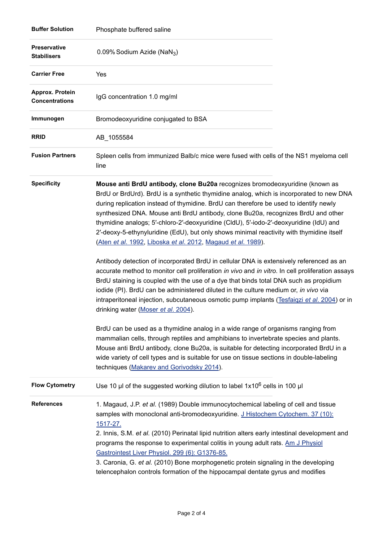| <b>Buffer Solution</b>                    | Phosphate buffered saline                                                                                                                                                                                                                                                                                                                                                                                                                                                                                                                                                                                   |  |
|-------------------------------------------|-------------------------------------------------------------------------------------------------------------------------------------------------------------------------------------------------------------------------------------------------------------------------------------------------------------------------------------------------------------------------------------------------------------------------------------------------------------------------------------------------------------------------------------------------------------------------------------------------------------|--|
| <b>Preservative</b><br><b>Stabilisers</b> | 0.09% Sodium Azide (NaN <sub>3</sub> )                                                                                                                                                                                                                                                                                                                                                                                                                                                                                                                                                                      |  |
| <b>Carrier Free</b>                       | Yes                                                                                                                                                                                                                                                                                                                                                                                                                                                                                                                                                                                                         |  |
| Approx. Protein<br><b>Concentrations</b>  | IgG concentration 1.0 mg/ml                                                                                                                                                                                                                                                                                                                                                                                                                                                                                                                                                                                 |  |
| Immunogen                                 | Bromodeoxyuridine conjugated to BSA                                                                                                                                                                                                                                                                                                                                                                                                                                                                                                                                                                         |  |
| <b>RRID</b>                               | AB_1055584                                                                                                                                                                                                                                                                                                                                                                                                                                                                                                                                                                                                  |  |
| <b>Fusion Partners</b>                    | Spleen cells from immunized Balb/c mice were fused with cells of the NS1 myeloma cell<br>line                                                                                                                                                                                                                                                                                                                                                                                                                                                                                                               |  |
| <b>Specificity</b>                        | Mouse anti BrdU antibody, clone Bu20a recognizes bromodeoxyuridine (known as<br>BrdU or BrdUrd). BrdU is a synthetic thymidine analog, which is incorporated to new DNA<br>during replication instead of thymidine. BrdU can therefore be used to identify newly<br>synthesized DNA. Mouse anti BrdU antibody, clone Bu20a, recognizes BrdU and other<br>thymidine analogs; 5'-chloro-2'-deoxyuridine (CldU), 5'-iodo-2'-deoxyuridine (IdU) and<br>2'-deoxy-5-ethynyluridine (EdU), but only shows minimal reactivity with thymidine itself<br>(Aten et al. 1992, Liboska et al. 2012, Magaud et al. 1989). |  |
|                                           | Antibody detection of incorporated BrdU in cellular DNA is extensively referenced as an<br>accurate method to monitor cell proliferation in vivo and in vitro. In cell proliferation assays<br>BrdU staining is coupled with the use of a dye that binds total DNA such as propidium<br>iodide (PI). BrdU can be administered diluted in the culture medium or, in vivo via<br>intraperitoneal injection, subcutaneous osmotic pump implants (Tesfaigzi et al. 2004) or in<br>drinking water (Moser et al. 2004).                                                                                           |  |
|                                           | BrdU can be used as a thymidine analog in a wide range of organisms ranging from<br>mammalian cells, through reptiles and amphibians to invertebrate species and plants.<br>Mouse anti BrdU antibody, clone Bu20a, is suitable for detecting incorporated BrdU in a<br>wide variety of cell types and is suitable for use on tissue sections in double-labeling<br>techniques (Makarev and Gorivodsky 2014).                                                                                                                                                                                                |  |
| <b>Flow Cytometry</b>                     | Use 10 $\mu$ l of the suggested working dilution to label 1x10 <sup>6</sup> cells in 100 $\mu$ l                                                                                                                                                                                                                                                                                                                                                                                                                                                                                                            |  |
| <b>References</b>                         | 1. Magaud, J.P. et al. (1989) Double immunocytochemical labeling of cell and tissue<br>samples with monoclonal anti-bromodeoxyuridine. J Histochem Cytochem. 37 (10):<br>1517-27.<br>2. Innis, S.M. et al. (2010) Perinatal lipid nutrition alters early intestinal development and<br>programs the response to experimental colitis in young adult rats. Am J Physiol<br>Gastrointest Liver Physiol. 299 (6): G1376-85.<br>3. Caronia, G. et al. (2010) Bone morphogenetic protein signaling in the developing<br>telencephalon controls formation of the hippocampal dentate gyrus and modifies           |  |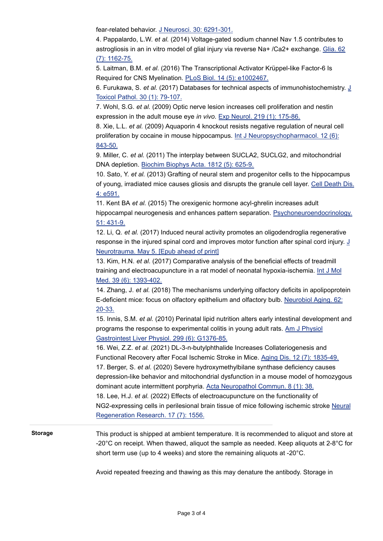fear-related behavior. [J Neurosci. 30: 6291-301.](http://www.ncbi.nlm.nih.gov/pubmed/20445055)

4. Pappalardo, L.W. *et al.* (2014) Voltage-gated sodium channel Nav 1.5 contributes to astrogliosis in an in vitro model of glial injury via reverse Na+ /Ca2+ exchange. [Glia. 62](http://www.ncbi.nlm.nih.gov/pubmed/24740847) (7): 1162-75.

5. Laitman, B.M. *et al.* (2016) The Transcriptional Activator Krüppel-like Factor-6 Is Required for CNS Myelination. [PLoS Biol. 14 \(5\): e1002467.](http://www.ncbi.nlm.nih.gov/pubmed/27213272)

6. Furukawa, S. *et al.* (2017) Databases for technical aspects of immunohistochemistry. [J](http://www.ncbi.nlm.nih.gov/pubmed/28190929) Toxicol Pathol. 30 (1): 79-107.

7. Wohl, S.G. *et al.* (2009) Optic nerve lesion increases cell proliferation and nestin expression in the adult mouse eye *in vivo*. [Exp Neurol. 219 \(1\): 175-86.](http://www.ncbi.nlm.nih.gov/pubmed/19445936)

8. Xie, L.L. *et al.* (2009) Aquaporin 4 knockout resists negative regulation of neural cell proliferation by cocaine in mouse hippocampus. [Int J Neuropsychopharmacol. 12 \(6\):](http://www.ncbi.nlm.nih.gov/pubmed/19203409) 843-50.

9. Miller, C. *et al.* (2011) The interplay between SUCLA2, SUCLG2, and mitochondrial DNA depletion. [Biochim Biophys Acta. 1812 \(5\): 625-9.](http://www.ncbi.nlm.nih.gov/pubmed/21295139)

10. Sato, Y. *et al.* (2013) Grafting of neural stem and progenitor cells to the hippocampus of young, irradiated mice causes gliosis and disrupts the granule cell layer. [Cell Death Dis.](http://www.ncbi.nlm.nih.gov/pubmed/23598403) 4: e591.

11. Kent BA *et al.* (2015) The orexigenic hormone acyl-ghrelin increases adult hippocampal neurogenesis and enhances pattern separation. [Psychoneuroendocrinology.](http://www.ncbi.nlm.nih.gov/pubmed/25462915) 51: 431-9.

12. Li, Q. *et al.* (2017) Induced neural activity promotes an oligodendroglia regenerative response in the injured spinal cord and improves motor function after spinal cord injury. [J](http://www.ncbi.nlm.nih.gov/pubmed/28474539) Neurotrauma. May 5. [Epub ahead of print]

13. Kim, H.N. *et al.* (2017) Comparative analysis of the beneficial effects of treadmill training and electroacupuncture in a rat model of neonatal hypoxia-ischemia. [Int J Mol](http://www.ncbi.nlm.nih.gov/pubmed/28487967) Med. 39 (6): 1393-402.

14. Zhang, J. *et al.* (2018) The mechanisms underlying olfactory deficits in apolipoprotein E-deficient mice: focus on olfactory epithelium and olfactory bulb. [Neurobiol Aging. 62:](http://www.ncbi.nlm.nih.gov/pubmed/29107844) 20-33.

15. Innis, S.M. *et al.* (2010) Perinatal lipid nutrition alters early intestinal development and programs the response to experimental colitis in young adult rats. [Am J Physiol](http://www.ncbi.nlm.nih.gov/pubmed/20864654) Gastrointest Liver Physiol. 299 (6): G1376-85.

16. Wei, Z.Z. *et al.* (2021) DL-3-n-butylphthalide Increases Collateriogenesis and Functional Recovery after Focal Ischemic Stroke in Mice. [Aging Dis. 12 \(7\): 1835-49.](http://www.ncbi.nlm.nih.gov/pubmed/34631224) 17. Berger, S. *et al.* (2020) Severe hydroxymethylbilane synthase deficiency causes depression-like behavior and mitochondrial dysfunction in a mouse model of homozygous dominant acute intermittent porphyria. [Acta Neuropathol Commun. 8 \(1\): 38.](http://www.ncbi.nlm.nih.gov/pubmed/32197664)

18. Lee, H.J. *et al.* (2022) Effects of electroacupuncture on the functionality of NG2-expressing cells in perilesional brain tissue of mice following ischemic stroke [Neural](http://dx.doi.org/10.4103/1673-5374.330611) Regeneration Research. 17 (7): 1556.

**Storage** This product is shipped at ambient temperature. It is recommended to aliquot and store at -20 $^{\circ}$ C on receipt. When thawed, aliquot the sample as needed. Keep aliquots at 2-8 $^{\circ}$ C for short term use (up to 4 weeks) and store the remaining aliquots at -20°C.

Avoid repeated freezing and thawing as this may denature the antibody. Storage in